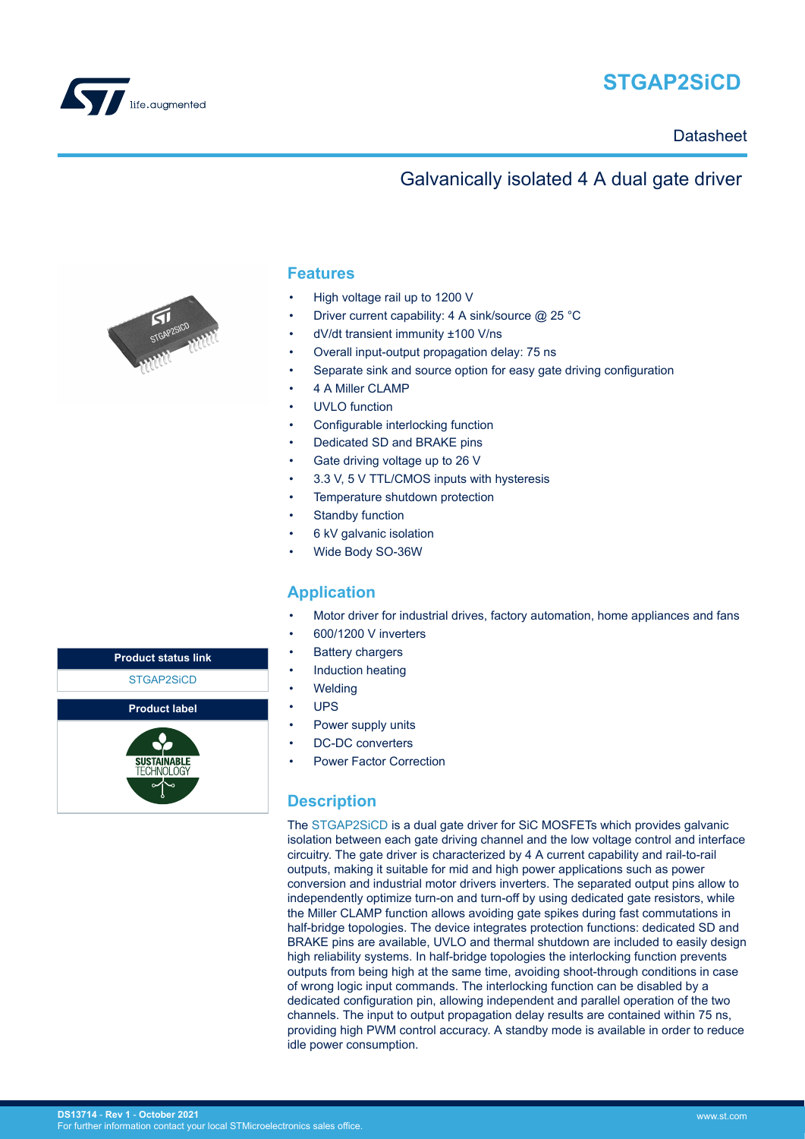

# **STGAP2SiCD**

### **Datasheet**

### Galvanically isolated 4 A dual gate driver



#### **Features**

- High voltage rail up to 1200 V
- Driver current capability: 4 A sink/source @ 25 °C
- dV/dt transient immunity ±100 V/ns
- Overall input-output propagation delay: 75 ns
- Separate sink and source option for easy gate driving configuration
- 4 A Miller CLAMP
- UVLO function
- Configurable interlocking function
- Dedicated SD and BRAKE pins
- Gate driving voltage up to 26 V
- 3.3 V, 5 V TTL/CMOS inputs with hysteresis
- Temperature shutdown protection
- Standby function
- 6 kV galvanic isolation
- Wide Body SO-36W

#### **Application**

- Motor driver for industrial drives, factory automation, home appliances and fans
- 600/1200 V inverters
- **Battery chargers**
- Induction heating
- **Welding**
- UPS
- Power supply units
- DC-DC converters
- Power Factor Correction

#### **Description**

The [STGAP2SiCD i](https://www.st.com/en/product/STGAP2SICD?ecmp=tt9470_gl_link_feb2019&rt=ds&id=DS13714)s a dual gate driver for SiC MOSFETs which provides galvanic isolation between each gate driving channel and the low voltage control and interface circuitry. The gate driver is characterized by 4 A current capability and rail-to-rail outputs, making it suitable for mid and high power applications such as power conversion and industrial motor drivers inverters. The separated output pins allow to independently optimize turn-on and turn-off by using dedicated gate resistors, while the Miller CLAMP function allows avoiding gate spikes during fast commutations in half-bridge topologies. The device integrates protection functions: dedicated SD and BRAKE pins are available, UVLO and thermal shutdown are included to easily design high reliability systems. In half-bridge topologies the interlocking function prevents outputs from being high at the same time, avoiding shoot-through conditions in case of wrong logic input commands. The interlocking function can be disabled by a dedicated configuration pin, allowing independent and parallel operation of the two channels. The input to output propagation delay results are contained within 75 ns, providing high PWM control accuracy. A standby mode is available in order to reduce idle power consumption.

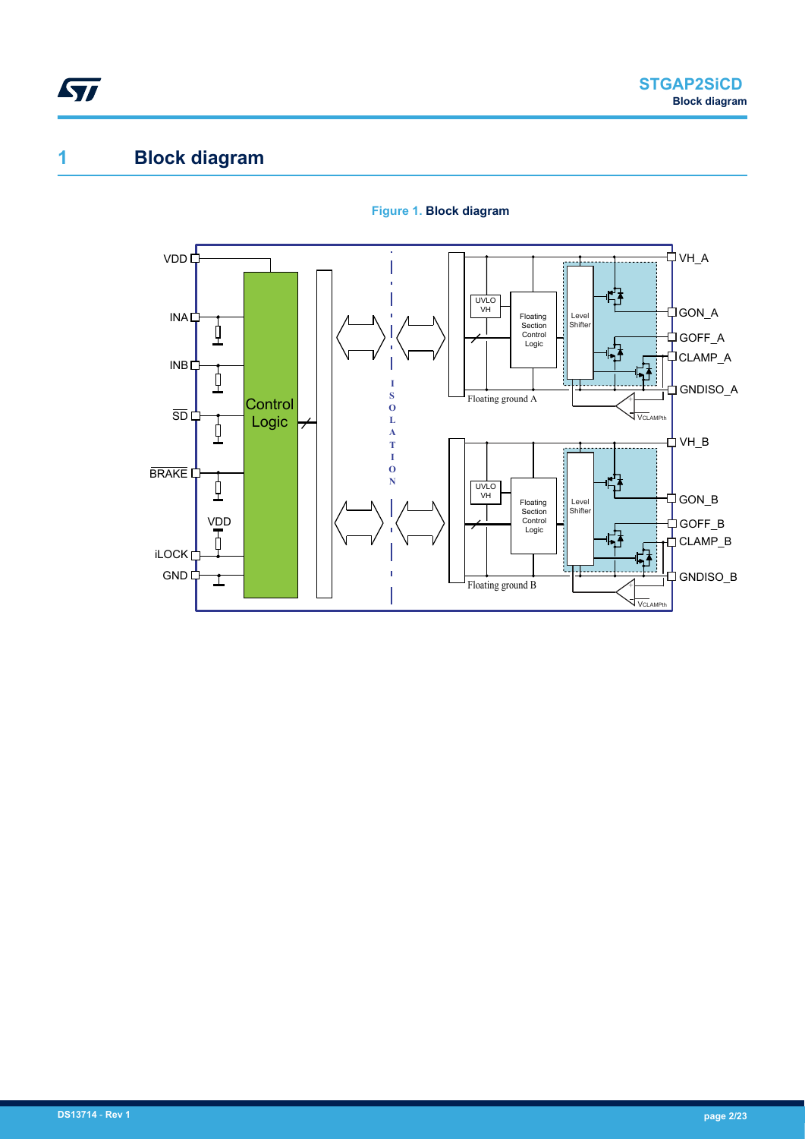<span id="page-1-0"></span>

# **1 Block diagram**



#### **Figure 1. Block diagram**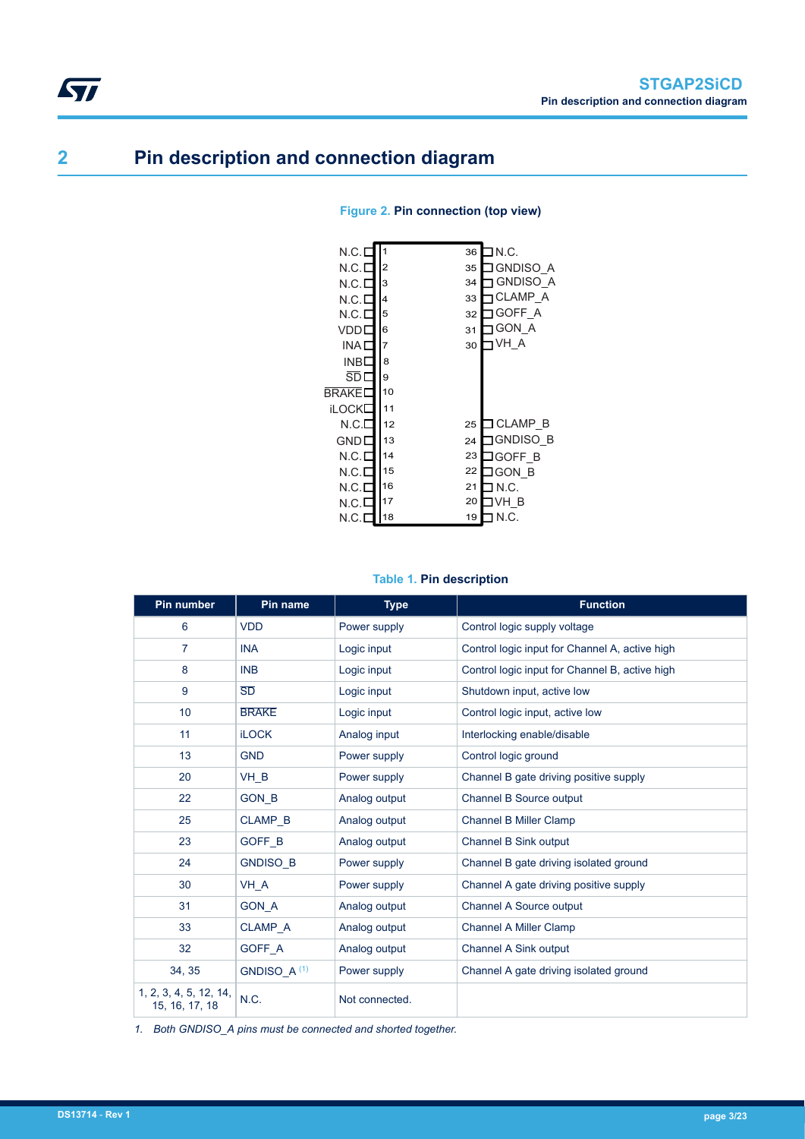# **2 Pin description and connection diagram**

<span id="page-2-0"></span>**STI** 

| N.C.I        | 1              | 36 | ⊒ N.C.          |
|--------------|----------------|----|-----------------|
| N.C.E        | $\overline{2}$ | 35 | IGNDISO A       |
| N.C.E        | 3              | 34 | <b>GNDISO A</b> |
| N.C.E        | 4              | 33 | <b>CLAMP A</b>  |
| N.C.E        | 5              | 32 | GOFF A          |
| VDDI         | 6              | 31 | <b>GON A</b>    |
| INA L        | 7              | 30 | VH A            |
| INBE         | 8              |    |                 |
| SD L         | 9              |    |                 |
| <b>BRAKE</b> | 10             |    |                 |
| iLOCK        | 11             |    |                 |
| N.C.E        | 12             | 25 | ⊐CLAMP B        |
| GNDL         | 13             | 24 | JGNDISO B       |
| N.C.E        | 14             | 23 | JGOFF B         |
| N.C.E        | 15             | 22 | IGON B          |
| N.C.E        | 16             | 21 | ∃ N.C.          |
| N.C.E        | 17             | 20 | IVH B           |
| N.C.I        | 18             | 19 | N.C.            |

#### **Figure 2. Pin connection (top view)**

#### **Table 1. Pin description**

| <b>Pin number</b>                        | Pin name                | <b>Type</b>    | <b>Function</b>                                |
|------------------------------------------|-------------------------|----------------|------------------------------------------------|
| 6                                        | <b>VDD</b>              | Power supply   | Control logic supply voltage                   |
| $\overline{7}$                           | <b>INA</b>              | Logic input    | Control logic input for Channel A, active high |
| 8                                        | <b>INB</b>              | Logic input    | Control logic input for Channel B, active high |
| 9                                        | SD                      | Logic input    | Shutdown input, active low                     |
| 10                                       | <b>BRAKE</b>            | Logic input    | Control logic input, active low                |
| 11                                       | <b>iLOCK</b>            | Analog input   | Interlocking enable/disable                    |
| 13                                       | <b>GND</b>              | Power supply   | Control logic ground                           |
| 20                                       | VH_B                    | Power supply   | Channel B gate driving positive supply         |
| 22                                       | <b>GON B</b>            | Analog output  | Channel B Source output                        |
| 25                                       | <b>CLAMP B</b>          | Analog output  | <b>Channel B Miller Clamp</b>                  |
| 23                                       | GOFF <sub>B</sub>       | Analog output  | Channel B Sink output                          |
| 24                                       | <b>GNDISO B</b>         | Power supply   | Channel B gate driving isolated ground         |
| 30                                       | VH A                    | Power supply   | Channel A gate driving positive supply         |
| 31                                       | <b>GON A</b>            | Analog output  | Channel A Source output                        |
| 33                                       | <b>CLAMP A</b>          | Analog output  | <b>Channel A Miller Clamp</b>                  |
| 32                                       | GOFF A                  | Analog output  | Channel A Sink output                          |
| 34, 35                                   | GNDISO_A <sup>(1)</sup> | Power supply   | Channel A gate driving isolated ground         |
| 1, 2, 3, 4, 5, 12, 14,<br>15, 16, 17, 18 | N.C.                    | Not connected. |                                                |

*1. Both GNDISO\_A pins must be connected and shorted together.*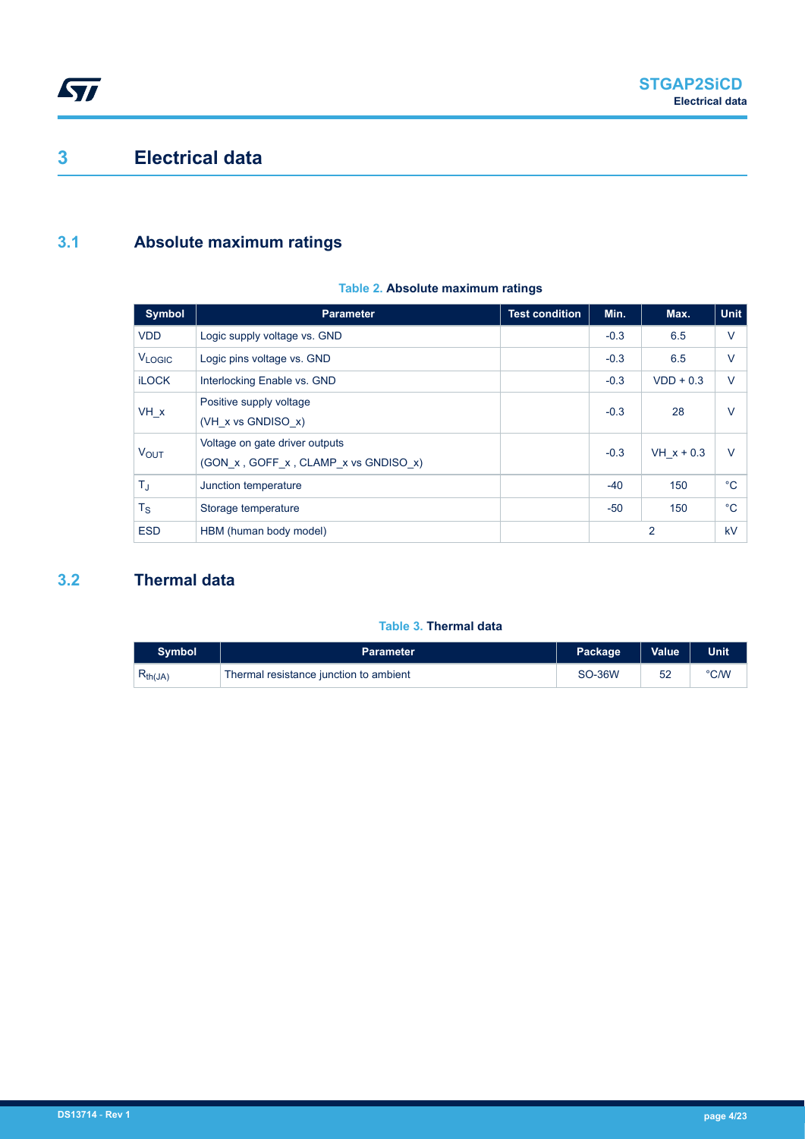## <span id="page-3-0"></span>**3 Electrical data**

### **3.1 Absolute maximum ratings**

#### **Table 2. Absolute maximum ratings**

| Symbol                  | <b>Parameter</b>                                                       | <b>Test condition</b> | Min.   | Max.         | <b>Unit</b>  |
|-------------------------|------------------------------------------------------------------------|-----------------------|--------|--------------|--------------|
| <b>VDD</b>              | Logic supply voltage vs. GND                                           |                       | $-0.3$ | 6.5          | $\vee$       |
| <b>VLOGIC</b>           | Logic pins voltage vs. GND                                             |                       | $-0.3$ | 6.5          | $\vee$       |
| <b>iLOCK</b>            | Interlocking Enable vs. GND                                            |                       | $-0.3$ | $VDD + 0.3$  | $\vee$       |
| $VH_x$                  | Positive supply voltage<br>$(VH \times vs$ GNDISO $x)$                 |                       | $-0.3$ | 28           | $\vee$       |
| <b>VOUT</b>             | Voltage on gate driver outputs<br>(GON x, GOFF x, CLAMP x vs GNDISO x) |                       | $-0.3$ | $VH x + 0.3$ | $\vee$       |
| $\mathsf{T}_\mathrm{J}$ | Junction temperature                                                   |                       | $-40$  | 150          | $^{\circ}$ C |
| $T_{\rm S}$             | Storage temperature                                                    |                       | -50    | 150          | $^{\circ}C$  |
| <b>ESD</b>              | HBM (human body model)                                                 |                       |        | 2            | kV           |

### **3.2 Thermal data**

#### **Table 3. Thermal data**

| <b>Symbol</b> | <b>Parameter</b>                       | Package       | <b>Value</b> | <b>Unit</b> |
|---------------|----------------------------------------|---------------|--------------|-------------|
| $R_{th(JA)}$  | Thermal resistance junction to ambient | <b>SO-36W</b> |              | °C/W        |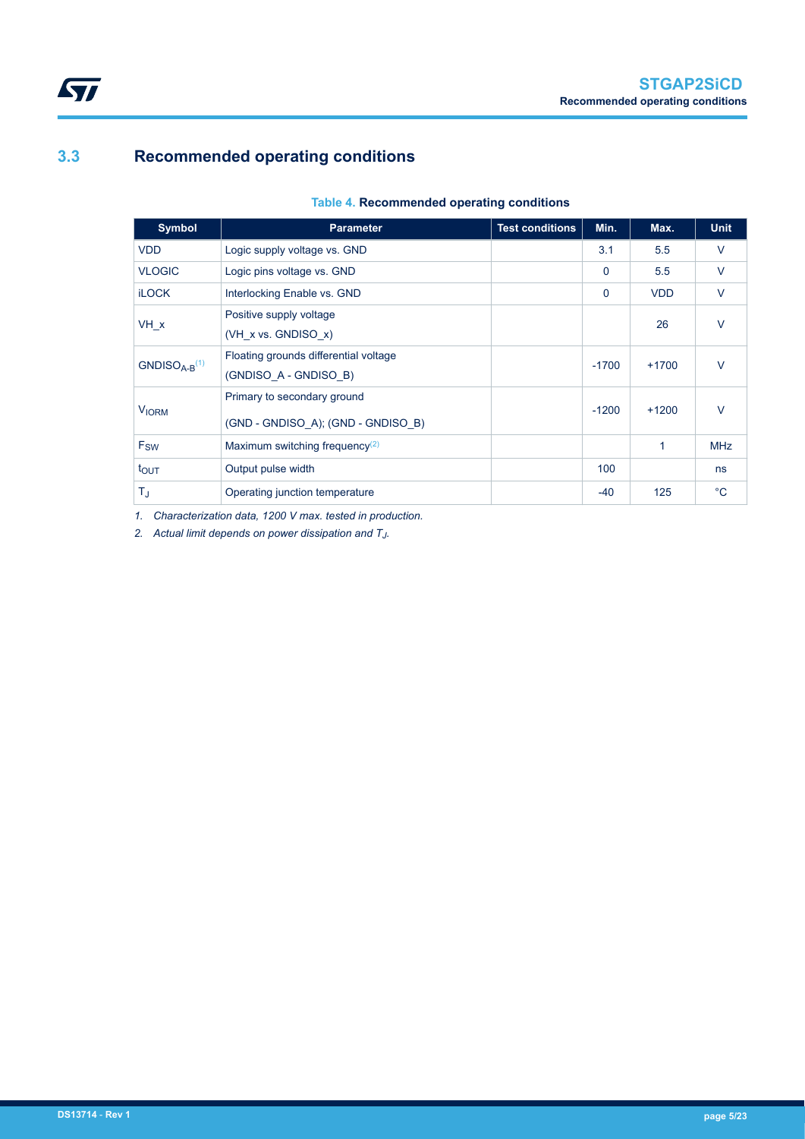### <span id="page-4-0"></span>**3.3 Recommended operating conditions**

#### **Table 4. Recommended operating conditions**

| <b>Symbol</b>    | <b>Parameter</b>                                                  | <b>Test conditions</b> | Min.     | Max.       | <b>Unit</b>  |
|------------------|-------------------------------------------------------------------|------------------------|----------|------------|--------------|
| <b>VDD</b>       | Logic supply voltage vs. GND                                      |                        | 3.1      | 5.5        | $\vee$       |
| <b>VLOGIC</b>    | Logic pins voltage vs. GND                                        |                        | $\Omega$ | 5.5        | $\vee$       |
| <b>iLOCK</b>     | Interlocking Enable vs. GND                                       |                        | $\Omega$ | <b>VDD</b> | $\vee$       |
| VH x             | Positive supply voltage<br>(VH_x vs. GNDISO_x)                    |                        |          | 26         | $\vee$       |
| $GNDISOA-B(1)$   | Floating grounds differential voltage<br>(GNDISO A - GNDISO B)    |                        | $-1700$  | $+1700$    | $\vee$       |
| <b>VIORM</b>     | Primary to secondary ground<br>(GND - GNDISO A); (GND - GNDISO B) |                        | $-1200$  | $+1200$    | $\vee$       |
| F <sub>SW</sub>  | Maximum switching frequency <sup>(2)</sup>                        |                        |          | 1          | <b>MHz</b>   |
| $t_{\text{OUT}}$ | Output pulse width                                                |                        | 100      |            | ns           |
| T,               | Operating junction temperature                                    |                        | $-40$    | 125        | $^{\circ}$ C |

*1. Characterization data, 1200 V max. tested in production.*

*2. Actual limit depends on power dissipation and T<sup>J</sup> .*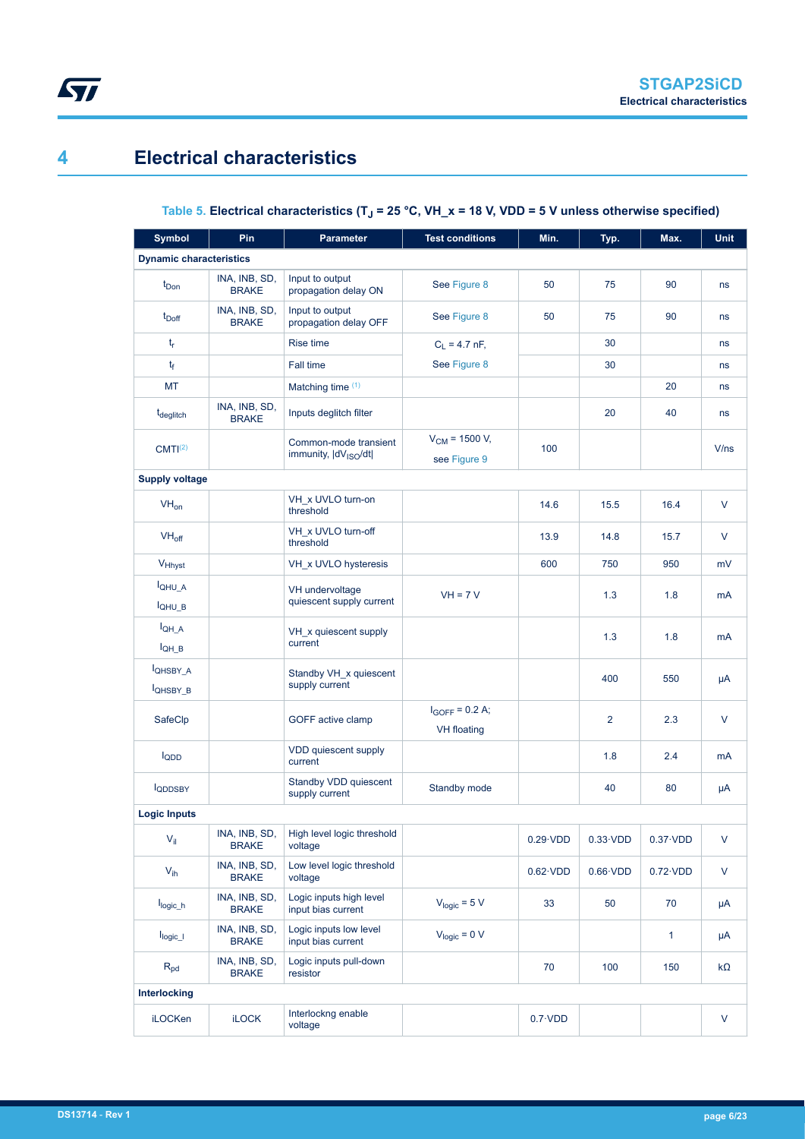## **4 Electrical characteristics**

<span id="page-5-0"></span>ST

### **Table 5. Electrical characteristics (TJ = 25 °C, VH\_x = 18 V, VDD = 5 V unless otherwise specified)**

| <b>Symbol</b>                  | Pin                           | <b>Parameter</b>                                          | <b>Test conditions</b>                    | Min.             | Typ.             | Max.             | <b>Unit</b>  |
|--------------------------------|-------------------------------|-----------------------------------------------------------|-------------------------------------------|------------------|------------------|------------------|--------------|
| <b>Dynamic characteristics</b> |                               |                                                           |                                           |                  |                  |                  |              |
| $t_{Don}$                      | INA, INB, SD,<br><b>BRAKE</b> | Input to output<br>propagation delay ON                   | See Figure 8                              | 50               | 75               | 90               | ns           |
| $t_{\text{Doff}}$              | INA, INB, SD,<br><b>BRAKE</b> | Input to output<br>propagation delay OFF                  | See Figure 8                              | 50               | 75               | 90               | ns           |
| $t_{r}$                        |                               | <b>Rise time</b>                                          | $C_L = 4.7$ nF,                           |                  | 30               |                  | ns           |
| tf                             |                               | Fall time                                                 | See Figure 8                              |                  | 30               |                  | ns           |
| МT                             |                               | Matching time $(1)$                                       |                                           |                  |                  | 20               | ns           |
| t <sub>deglitch</sub>          | INA, INB, SD,<br><b>BRAKE</b> | Inputs deglitch filter                                    |                                           |                  | 20               | 40               | ns           |
| CMTI <sup>(2)</sup>            |                               | Common-mode transient<br>immunity,  dV <sub>ISO</sub> /dt | $V_{CM}$ = 1500 V,<br>see Figure 9        | 100              |                  |                  | V/ns         |
| <b>Supply voltage</b>          |                               |                                                           |                                           |                  |                  |                  |              |
| $VH_{on}$                      |                               | VH x UVLO turn-on<br>threshold                            |                                           | 14.6             | 15.5             | 16.4             | V            |
| $VH_{off}$                     |                               | VH x UVLO turn-off<br>threshold                           |                                           | 13.9             | 14.8             | 15.7             | V            |
| V <sub>Hhyst</sub>             |                               | VH_x UVLO hysteresis                                      |                                           | 600              | 750              | 950              | mV           |
| IQHU A<br><b>IQHU B</b>        |                               | VH undervoltage<br>quiescent supply current               | $VH = 7 V$                                |                  | 1.3              | 1.8              | mA           |
| $I_{QH \ A}$<br>$I_{QH_B}$     |                               | VH_x quiescent supply<br>current                          |                                           |                  | 1.3              | 1.8              | mA           |
| <b>IQHSBY A</b><br>IQHSBY_B    |                               | Standby VH x quiescent<br>supply current                  |                                           |                  | 400              | 550              | μA           |
| SafeClp                        |                               | GOFF active clamp                                         | $I_{GOFF} = 0.2 A;$<br><b>VH</b> floating |                  | 2                | 2.3              | $\vee$       |
| $I_{QDD}$                      |                               | VDD quiescent supply<br>current                           |                                           |                  | 1.8              | 2.4              | mA           |
| <b>IQDDSBY</b>                 |                               | Standby VDD quiescent<br>supply current                   | Standby mode                              |                  | 40               | 80               | μA           |
| <b>Logic Inputs</b>            |                               |                                                           |                                           |                  |                  |                  |              |
| $V_{\parallel}$                | INA, INB, SD,<br><b>BRAKE</b> | High level logic threshold<br>voltage                     |                                           | $0.29 \cdot VDD$ | $0.33 \cdot VDD$ | $0.37 \cdot VDD$ | V            |
| $V_{ih}$                       | INA, INB, SD,<br><b>BRAKE</b> | Low level logic threshold<br>voltage                      |                                           | $0.62 \cdot VDD$ | $0.66 \cdot VDD$ | $0.72 \cdot VDD$ | $\mathsf{V}$ |
| $I_{logic\_h}$                 | INA, INB, SD,<br><b>BRAKE</b> | Logic inputs high level<br>input bias current             | $V_{logic} = 5 V$                         | 33               | 50               | 70               | μA           |
| $I_{logic\_l}$                 | INA, INB, SD,<br><b>BRAKE</b> | Logic inputs low level<br>input bias current              | $V_{logic} = 0 V$                         |                  |                  | $\mathbf{1}$     | μA           |
| $R_{pd}$                       | INA, INB, SD,<br><b>BRAKE</b> | Logic inputs pull-down<br>resistor                        |                                           | 70               | 100              | 150              | $k\Omega$    |
| Interlocking                   |                               |                                                           |                                           |                  |                  |                  |              |
| iLOCKen                        | <b>iLOCK</b>                  | Interlockng enable<br>voltage                             |                                           | $0.7 \cdot VDD$  |                  |                  | V            |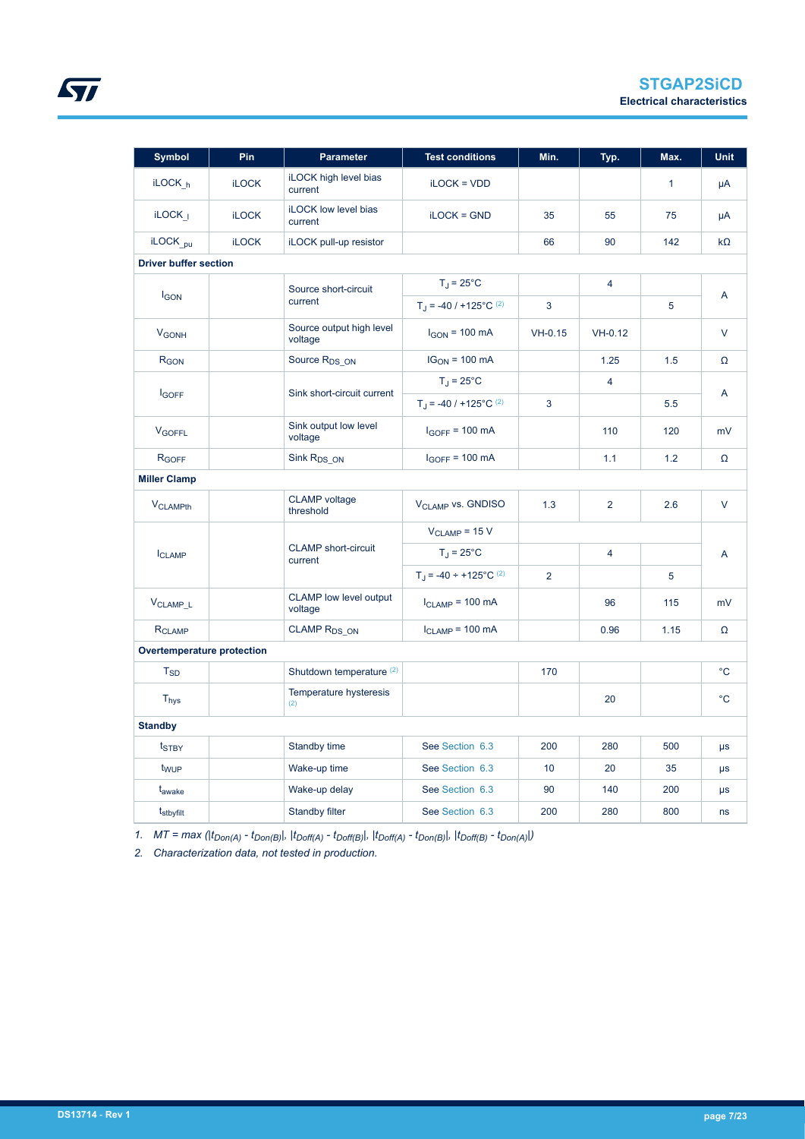| <b>Symbol</b>                | Pin          | <b>Parameter</b>                         | <b>Test conditions</b>               | Min.           | Typ.           | Max.         | <b>Unit</b>  |
|------------------------------|--------------|------------------------------------------|--------------------------------------|----------------|----------------|--------------|--------------|
| iLOCK <sub>h</sub>           | <b>iLOCK</b> | <b>iLOCK high level bias</b><br>current  | $i$ LOC $K = VDD$                    |                |                | $\mathbf{1}$ | μA           |
| $i$ LOCK <sub>I</sub>        | <b>iLOCK</b> | <b>iLOCK low level bias</b><br>current   | $i$ LOC $K = GND$                    | 35             | 55             | 75           | μA           |
| iLOCK <sub>pu</sub>          | <b>iLOCK</b> | iLOCK pull-up resistor                   |                                      | 66             | 90             | 142          | $k\Omega$    |
| <b>Driver buffer section</b> |              |                                          |                                      |                |                |              |              |
|                              |              | Source short-circuit                     | $T_J = 25^{\circ}C$                  |                | $\overline{4}$ |              |              |
| <b>IGON</b>                  |              | current                                  | $T_1$ = -40 / +125°C <sup>(2)</sup>  | 3              |                | 5            | A            |
| <b>V<sub>GONH</sub></b>      |              | Source output high level<br>voltage      | $I_{GON}$ = 100 mA                   | $VH-0.15$      | $VH-0.12$      |              | V            |
| R <sub>GON</sub>             |              | Source R <sub>DS ON</sub>                | $IG_{ON} = 100$ mA                   |                | 1.25           | 1.5          | Ω            |
|                              |              |                                          | $T_J = 25^{\circ}C$                  |                | $\overline{4}$ |              |              |
| <b>I</b> GOFF                |              | Sink short-circuit current               | $T_J = -40 / +125^{\circ}C^{(2)}$    | 3              |                | 5.5          | A            |
| <b>V<sub>GOFFL</sub></b>     |              | Sink output low level<br>voltage         | $I_{GOFF}$ = 100 mA                  |                | 110            | 120          | mV           |
| R <sub>GOFF</sub>            |              | Sink R <sub>DS_ON</sub>                  | $I_{GOFF}$ = 100 mA                  |                | 1.1            | 1.2          | Ω            |
| <b>Miller Clamp</b>          |              |                                          |                                      |                |                |              |              |
| <b>V<sub>CLAMPth</sub></b>   |              | <b>CLAMP</b> voltage<br>threshold        | <b>VCLAMP VS. GNDISO</b>             | 1.3            | $\overline{2}$ | 2.6          | $\vee$       |
|                              |              |                                          | $V_{CLAMP} = 15 V$                   |                |                |              |              |
| <b>ICLAMP</b>                |              | <b>CLAMP</b> short-circuit<br>current    | $T_J = 25^{\circ}C$                  |                | $\overline{4}$ |              | A            |
|                              |              |                                          | $T_J = -40 \div +125^{\circ}C^{(2)}$ | $\overline{2}$ |                | 5            |              |
| V <sub>CLAMP</sub> L         |              | <b>CLAMP</b> low level output<br>voltage | $I_{CLAMP}$ = 100 mA                 |                | 96             | 115          | mV           |
| <b>RCLAMP</b>                |              | CLAMP R <sub>DS ON</sub>                 | $I_{CLAMP}$ = 100 mA                 |                | 0.96           | 1.15         | Ω            |
| Overtemperature protection   |              |                                          |                                      |                |                |              |              |
| $T_{SD}$                     |              | Shutdown temperature <sup>(2)</sup>      |                                      | 170            |                |              | $^{\circ}$ C |
| $T_{\mathsf{hys}}$           |              | Temperature hysteresis                   |                                      |                | 20             |              | $^{\circ}$ C |
| <b>Standby</b>               |              |                                          |                                      |                |                |              |              |
| t <sub>STBY</sub>            |              | Standby time                             | See Section 6.3                      | 200            | 280            | 500          | $\mu s$      |
| t <sub>WUP</sub>             |              | Wake-up time                             | See Section 6.3                      | 10             | 20             | 35           | μs           |
| t <sub>awake</sub>           |              | Wake-up delay                            | See Section 6.3                      | 90             | 140            | 200          | $\mu s$      |
| t <sub>stbyfilt</sub>        |              | <b>Standby filter</b>                    | See Section 6.3                      | 200            | 280            | 800          | ns           |

*1. MT = max (|tDon(A) - tDon(B)|, |tDoff(A) - tDoff(B)|, |tDoff(A) - tDon(B)|, |tDoff(B) - tDon(A)|)*

*2. Characterization data, not tested in production.*

<span id="page-6-0"></span>ST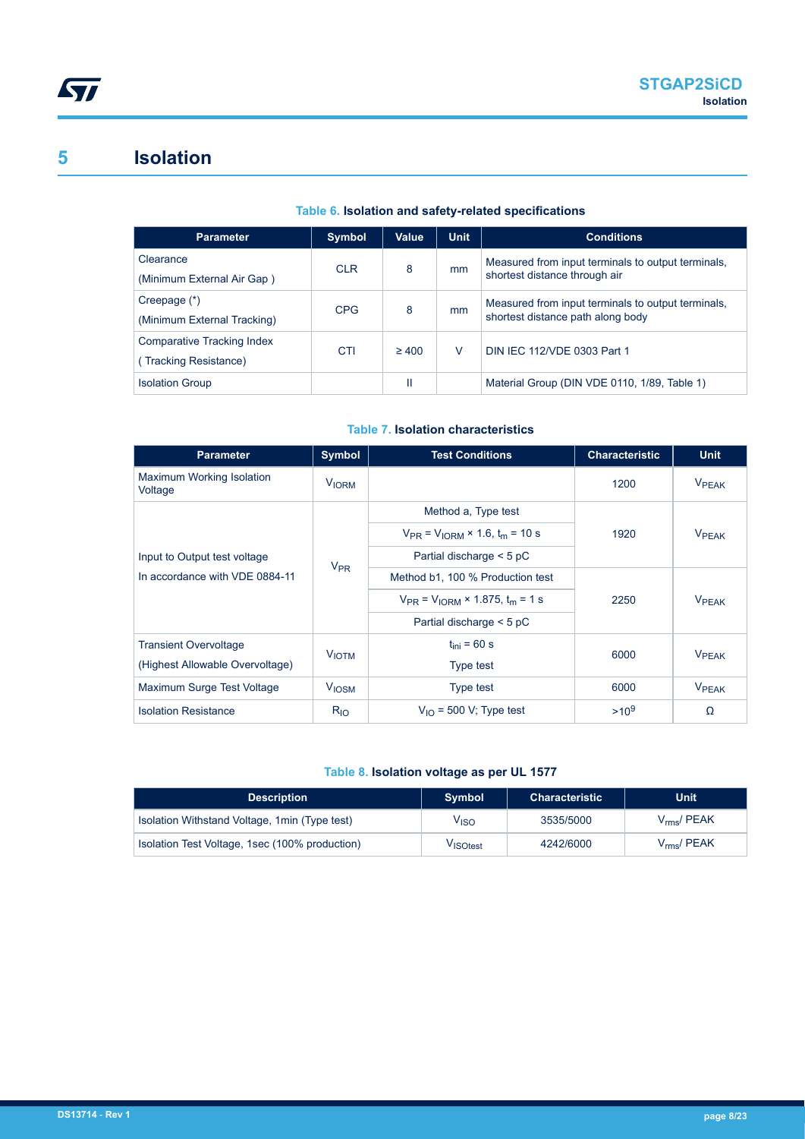### <span id="page-7-0"></span>**5 Isolation**

#### **Table 6. Isolation and safety-related specifications**

| <b>Parameter</b>            | <b>Symbol</b> | Value      | <b>Unit</b> | <b>Conditions</b>                                  |
|-----------------------------|---------------|------------|-------------|----------------------------------------------------|
| Clearance                   | <b>CLR</b>    | 8          | mm          | Measured from input terminals to output terminals, |
| (Minimum External Air Gap)  |               |            |             | shortest distance through air                      |
| Creepage (*)                | <b>CPG</b>    | 8          | mm          | Measured from input terminals to output terminals, |
| (Minimum External Tracking) |               |            |             | shortest distance path along body                  |
| Comparative Tracking Index  | CTI           | $\geq 400$ | V           | DIN IEC 112/VDE 0303 Part 1                        |
| (Tracking Resistance)       |               |            |             |                                                    |
| <b>Isolation Group</b>      |               | Ш          |             | Material Group (DIN VDE 0110, 1/89, Table 1)       |

#### **Table 7. Isolation characteristics**

| <b>Parameter</b>                     | Symbol                  | <b>Test Conditions</b>                        | <b>Characteristic</b> | <b>Unit</b>              |
|--------------------------------------|-------------------------|-----------------------------------------------|-----------------------|--------------------------|
| Maximum Working Isolation<br>Voltage | <b>V<sub>IORM</sub></b> |                                               | 1200                  | <b>VPEAK</b>             |
|                                      |                         | Method a, Type test                           |                       |                          |
|                                      |                         | $V_{PR} = V_{10RM} \times 1.6$ , $t_m = 10$ s | 1920                  | <b>VPFAK</b>             |
| Input to Output test voltage         | $V_{PR}$                | Partial discharge $<$ 5 pC                    |                       |                          |
| In accordance with VDE 0884-11       |                         | Method b1, 100 % Production test              |                       | <b>V</b> <sub>PEAK</sub> |
|                                      |                         | $V_{PR}$ = $V_{10RM}$ × 1.875, $t_m$ = 1 s    | 2250                  |                          |
|                                      |                         | Partial discharge $<$ 5 pC                    |                       |                          |
| <b>Transient Overvoltage</b>         | <b>VIOTM</b>            | $t_{\text{ini}}$ = 60 s                       | 6000                  | <b>VPFAK</b>             |
| (Highest Allowable Overvoltage)      |                         | Type test                                     |                       |                          |
| Maximum Surge Test Voltage           | <b>V<sub>IOSM</sub></b> | Type test                                     | 6000                  | <b>VPEAK</b>             |
| <b>Isolation Resistance</b>          | $R_{10}$                | $V_{1O}$ = 500 V; Type test                   | $>10^{9}$             | Ω                        |

#### **Table 8. Isolation voltage as per UL 1577**

| <b>Description</b>                             | Symbol           | <b>Characteristic</b> | <b>Unit</b>          |
|------------------------------------------------|------------------|-----------------------|----------------------|
| Isolation Withstand Voltage, 1 min (Type test) | V <sub>ISO</sub> | 3535/5000             | $V_{rms}$ / PEAK     |
| Isolation Test Voltage, 1sec (100% production) | VISOtest         | 4242/6000             | $V_{\rm rms}$ / PEAK |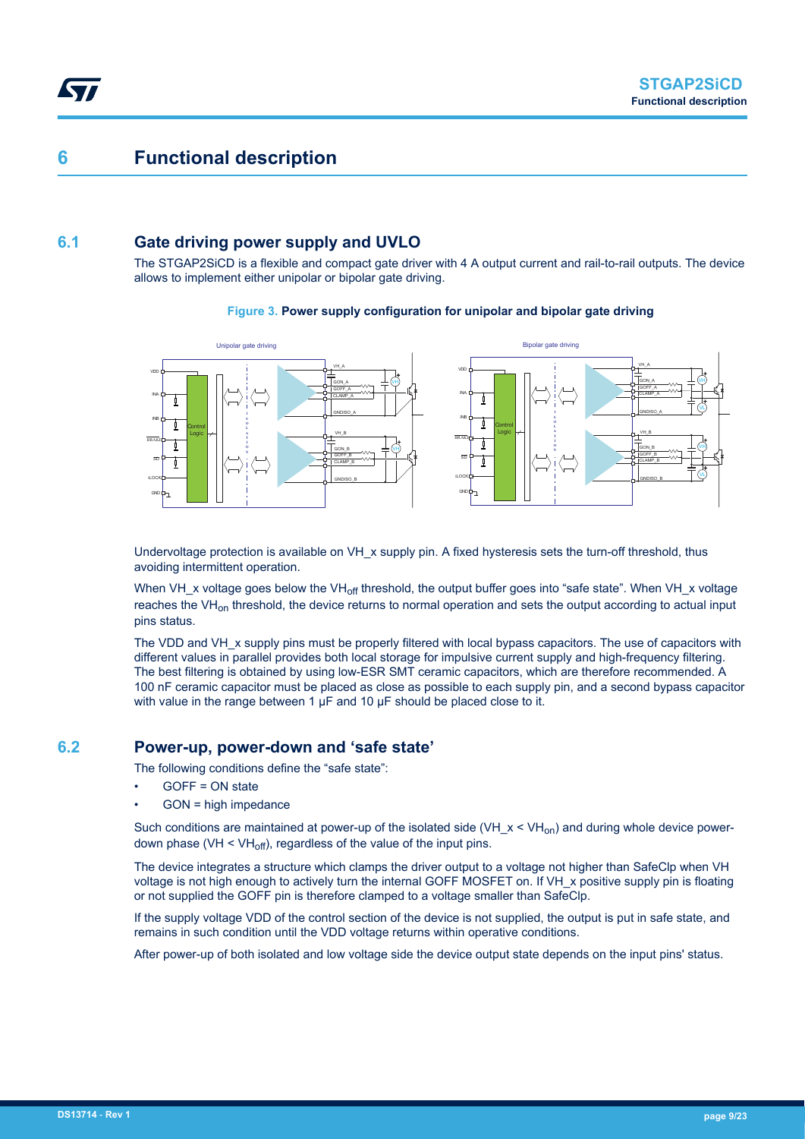### <span id="page-8-0"></span>**6 Functional description**

#### **6.1 Gate driving power supply and UVLO**

The STGAP2SiCD is a flexible and compact gate driver with 4 A output current and rail-to-rail outputs. The device allows to implement either unipolar or bipolar gate driving.

#### **Figure 3. Power supply configuration for unipolar and bipolar gate driving**



Undervoltage protection is available on VH\_x supply pin. A fixed hysteresis sets the turn-off threshold, thus avoiding intermittent operation.

When VH x voltage goes below the VH<sub>off</sub> threshold, the output buffer goes into "safe state". When VH x voltage reaches the VH<sub>on</sub> threshold, the device returns to normal operation and sets the output according to actual input pins status.

The VDD and VH x supply pins must be properly filtered with local bypass capacitors. The use of capacitors with different values in parallel provides both local storage for impulsive current supply and high-frequency filtering. The best filtering is obtained by using low-ESR SMT ceramic capacitors, which are therefore recommended. A 100 nF ceramic capacitor must be placed as close as possible to each supply pin, and a second bypass capacitor with value in the range between 1 μF and 10 μF should be placed close to it.

#### **6.2 Power-up, power-down and 'safe state'**

The following conditions define the "safe state":

- GOFF = ON state
- GON = high impedance

Such conditions are maintained at power-up of the isolated side (VH  $x < VH_{on}$ ) and during whole device powerdown phase (VH  $\leq$  VH<sub>off</sub>), regardless of the value of the input pins.

The device integrates a structure which clamps the driver output to a voltage not higher than SafeClp when VH voltage is not high enough to actively turn the internal GOFF MOSFET on. If VH x positive supply pin is floating or not supplied the GOFF pin is therefore clamped to a voltage smaller than SafeClp.

If the supply voltage VDD of the control section of the device is not supplied, the output is put in safe state, and remains in such condition until the VDD voltage returns within operative conditions.

After power-up of both isolated and low voltage side the device output state depends on the input pins' status.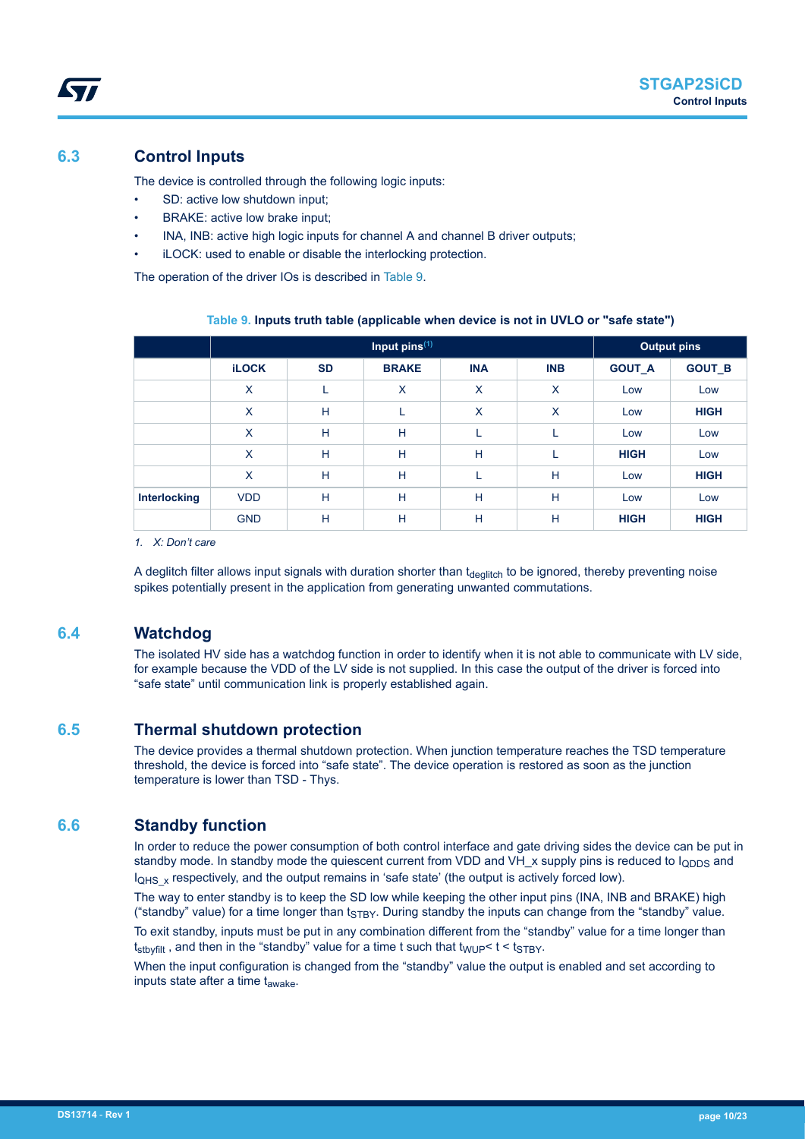#### <span id="page-9-0"></span>**6.3 Control Inputs**

The device is controlled through the following logic inputs:

- SD: active low shutdown input;
- BRAKE: active low brake input;
- INA, INB: active high logic inputs for channel A and channel B driver outputs;
- iLOCK: used to enable or disable the interlocking protection.

The operation of the driver IOs is described in Table 9.

|              |                           |           | <b>Output pins</b> |            |            |               |               |
|--------------|---------------------------|-----------|--------------------|------------|------------|---------------|---------------|
|              | <b>iLOCK</b>              | <b>SD</b> | <b>BRAKE</b>       | <b>INA</b> | <b>INB</b> | <b>GOUT A</b> | <b>GOUT_B</b> |
|              | X                         |           | X                  | X          | X          | Low           | Low           |
|              | $\boldsymbol{\mathsf{X}}$ | H         | L                  | X          | X          | Low           | <b>HIGH</b>   |
|              | X                         | H         | H                  |            |            | Low           | Low           |
|              | X                         | H         | H                  | H          |            | <b>HIGH</b>   | Low           |
|              | X                         | H         | H                  |            | H          | Low           | <b>HIGH</b>   |
| Interlocking | <b>VDD</b>                | H         | H                  | H          | H          | Low           | Low           |
|              | <b>GND</b>                | H         | н                  | Н          | Н          | <b>HIGH</b>   | <b>HIGH</b>   |

#### **Table 9. Inputs truth table (applicable when device is not in UVLO or "safe state")**

*1. X: Don't care*

A deglitch filter allows input signals with duration shorter than t<sub>deglitch</sub> to be ignored, thereby preventing noise spikes potentially present in the application from generating unwanted commutations.

#### **6.4 Watchdog**

The isolated HV side has a watchdog function in order to identify when it is not able to communicate with LV side, for example because the VDD of the LV side is not supplied. In this case the output of the driver is forced into "safe state" until communication link is properly established again.

#### **6.5 Thermal shutdown protection**

The device provides a thermal shutdown protection. When junction temperature reaches the TSD temperature threshold, the device is forced into "safe state". The device operation is restored as soon as the junction temperature is lower than TSD - Thys.

#### **6.6 Standby function**

In order to reduce the power consumption of both control interface and gate driving sides the device can be put in standby mode. In standby mode the quiescent current from VDD and VH  $\times$  supply pins is reduced to  $I_{\text{ODDS}}$  and  $I_{QHS}$  x respectively, and the output remains in 'safe state' (the output is actively forced low).

The way to enter standby is to keep the SD low while keeping the other input pins (INA, INB and BRAKE) high ("standby" value) for a time longer than  $t_{\text{STBV}}$ . During standby the inputs can change from the "standby" value.

To exit standby, inputs must be put in any combination different from the "standby" value for a time longer than  $t_{\text{stb}$  and then in the "standby" value for a time t such that  $t_{\text{WUP}}$  <  $t$  <  $t_{\text{STBY}}$ .

When the input configuration is changed from the "standby" value the output is enabled and set according to inputs state after a time  $t_{\text{awake}}$ .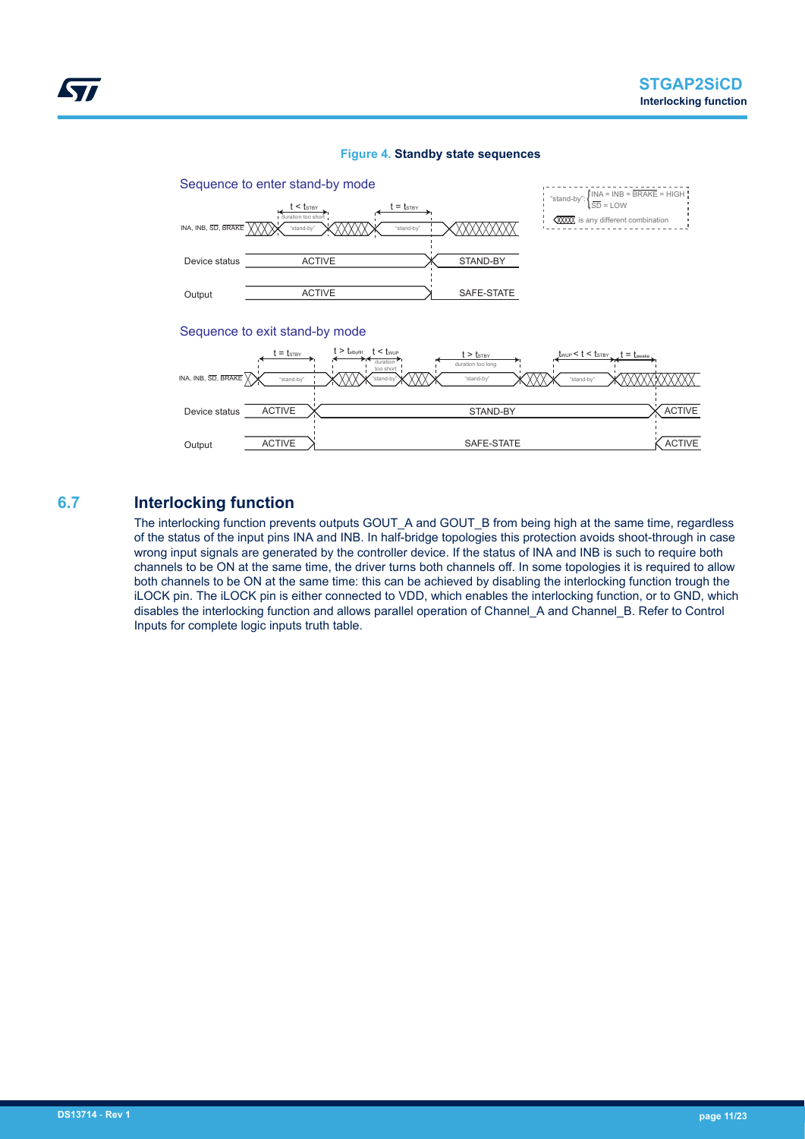<span id="page-10-0"></span>

#### **Figure 4. Standby state sequences**

#### Sequence to exit stand-by mode



**6.7 Interlocking function**

The interlocking function prevents outputs GOUT\_A and GOUT\_B from being high at the same time, regardless of the status of the input pins INA and INB. In half-bridge topologies this protection avoids shoot-through in case wrong input signals are generated by the controller device. If the status of INA and INB is such to require both channels to be ON at the same time, the driver turns both channels off. In some topologies it is required to allow both channels to be ON at the same time: this can be achieved by disabling the interlocking function trough the iLOCK pin. The iLOCK pin is either connected to VDD, which enables the interlocking function, or to GND, which disables the interlocking function and allows parallel operation of Channel\_A and Channel\_B. Refer to Control Inputs for complete logic inputs truth table.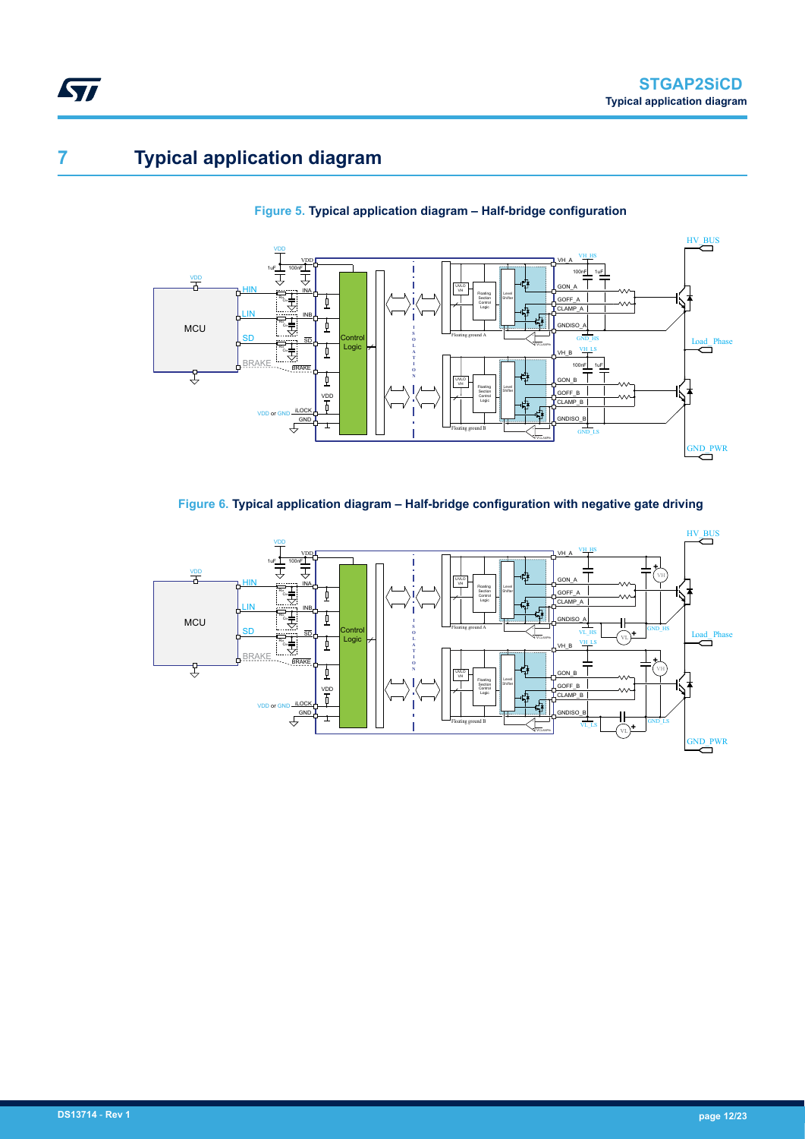# <span id="page-11-0"></span>**7 Typical application diagram**





**Figure 6. Typical application diagram – Half-bridge configuration with negative gate driving**

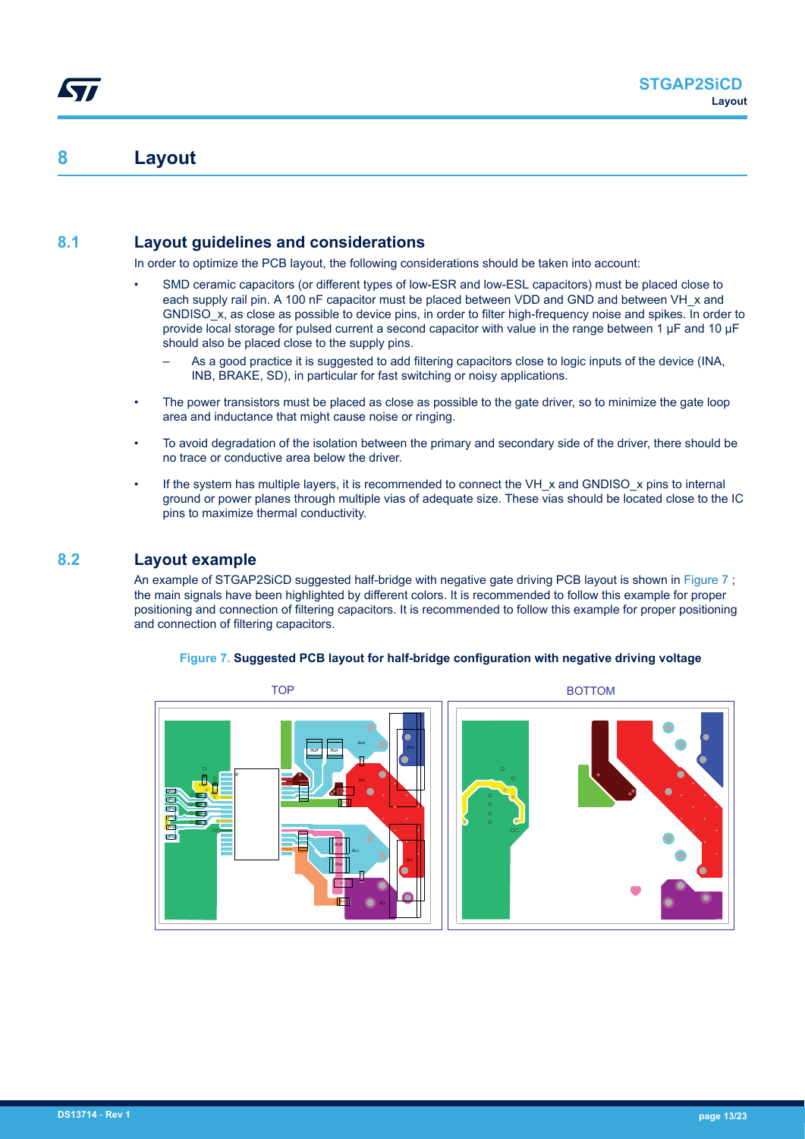### <span id="page-12-0"></span>**8 Layout**

#### **8.1 Layout guidelines and considerations**

In order to optimize the PCB layout, the following considerations should be taken into account:

- SMD ceramic capacitors (or different types of low-ESR and low-ESL capacitors) must be placed close to each supply rail pin. A 100 nF capacitor must be placed between VDD and GND and between VH x and GNDISO x, as close as possible to device pins, in order to filter high-frequency noise and spikes. In order to provide local storage for pulsed current a second capacitor with value in the range between 1 µF and 10 µF should also be placed close to the supply pins.
	- As a good practice it is suggested to add filtering capacitors close to logic inputs of the device (INA, INB, BRAKE, SD), in particular for fast switching or noisy applications.
- The power transistors must be placed as close as possible to the gate driver, so to minimize the gate loop area and inductance that might cause noise or ringing.
- To avoid degradation of the isolation between the primary and secondary side of the driver, there should be no trace or conductive area below the driver.
- If the system has multiple layers, it is recommended to connect the VH  $\times$  and GNDISO  $\times$  pins to internal ground or power planes through multiple vias of adequate size. These vias should be located close to the IC pins to maximize thermal conductivity.

#### **8.2 Layout example**

An example of STGAP2SiCD suggested half-bridge with negative gate driving PCB layout is shown in Figure 7; the main signals have been highlighted by different colors. It is recommended to follow this example for proper positioning and connection of filtering capacitors. It is recommended to follow this example for proper positioning and connection of filtering capacitors.

#### **Figure 7. Suggested PCB layout for half-bridge configuration with negative driving voltage**



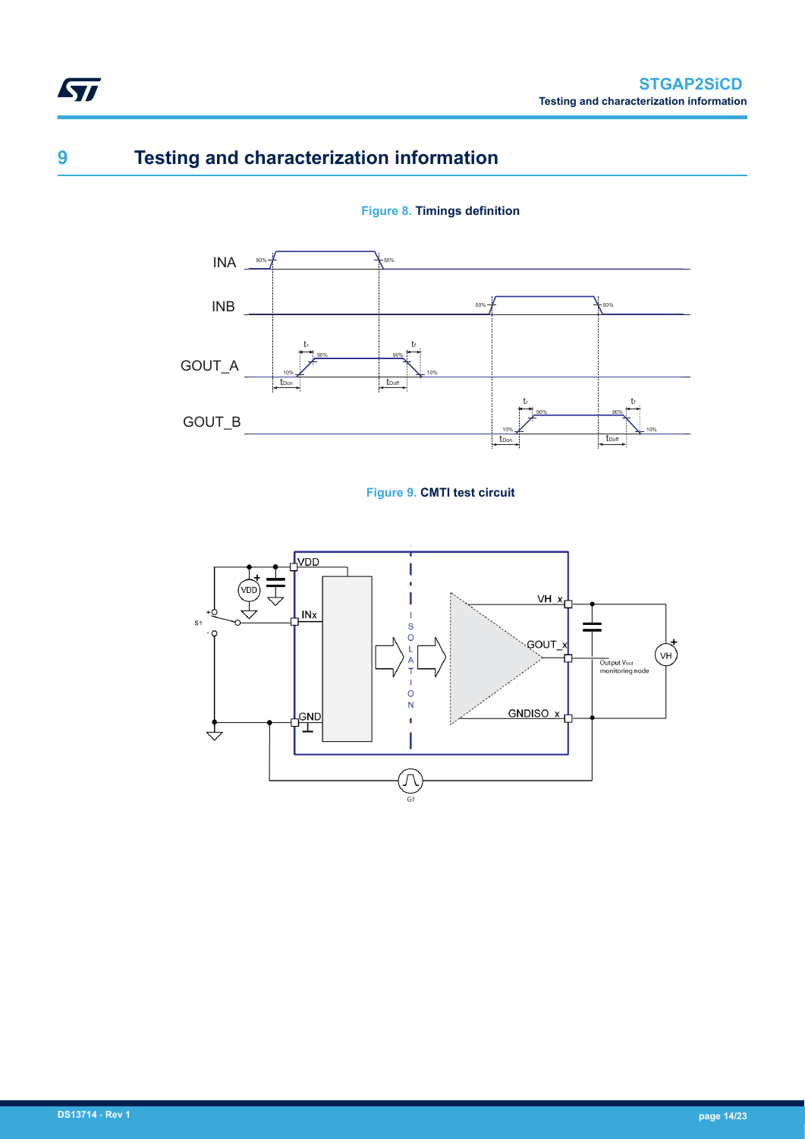## **9 Testing and characterization information**

<span id="page-13-0"></span>**STI** 





#### **Figure 9. CMTI test circuit**

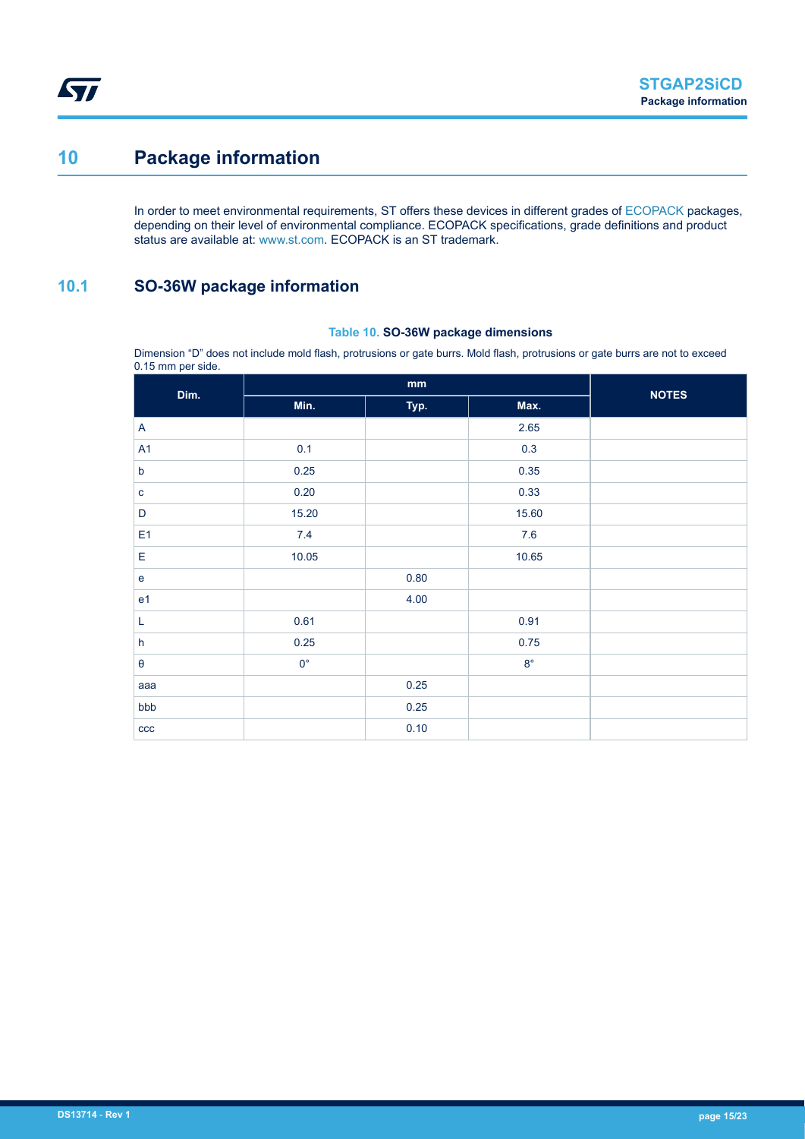## <span id="page-14-0"></span>**10 Package information**

In order to meet environmental requirements, ST offers these devices in different grades of [ECOPACK](https://www.st.com/ecopack) packages, depending on their level of environmental compliance. ECOPACK specifications, grade definitions and product status are available at: [www.st.com.](http://www.st.com) ECOPACK is an ST trademark.

### **10.1 SO-36W package information**

#### **Table 10. SO-36W package dimensions**

Dimension "D" does not include mold flash, protrusions or gate burrs. Mold flash, protrusions or gate burrs are not to exceed 0.15 mm per side.

| The Contract of the Contract of<br>Dim. |             | <b>NOTES</b> |             |  |
|-----------------------------------------|-------------|--------------|-------------|--|
|                                         | Min.        | Typ.         | Max.        |  |
| A                                       |             |              | 2.65        |  |
| A <sub>1</sub>                          | 0.1         |              | 0.3         |  |
| $\mathsf b$                             | 0.25        |              | 0.35        |  |
| $\mathbf{C}$                            | 0.20        |              | 0.33        |  |
| $\mathsf D$                             | 15.20       |              | 15.60       |  |
| E <sub>1</sub>                          | 7.4         |              | $7.6$       |  |
| $\mathsf E$                             | 10.05       |              | 10.65       |  |
| $\mathbf e$                             |             | 0.80         |             |  |
| e <sub>1</sub>                          |             | 4.00         |             |  |
| L                                       | 0.61        |              | 0.91        |  |
| $\boldsymbol{\mathsf{h}}$               | 0.25        |              | 0.75        |  |
| $\pmb{\theta}$                          | $0^{\circ}$ |              | $8^{\circ}$ |  |
| aaa                                     |             | 0.25         |             |  |
| bbb                                     |             | 0.25         |             |  |
| ccc                                     |             | 0.10         |             |  |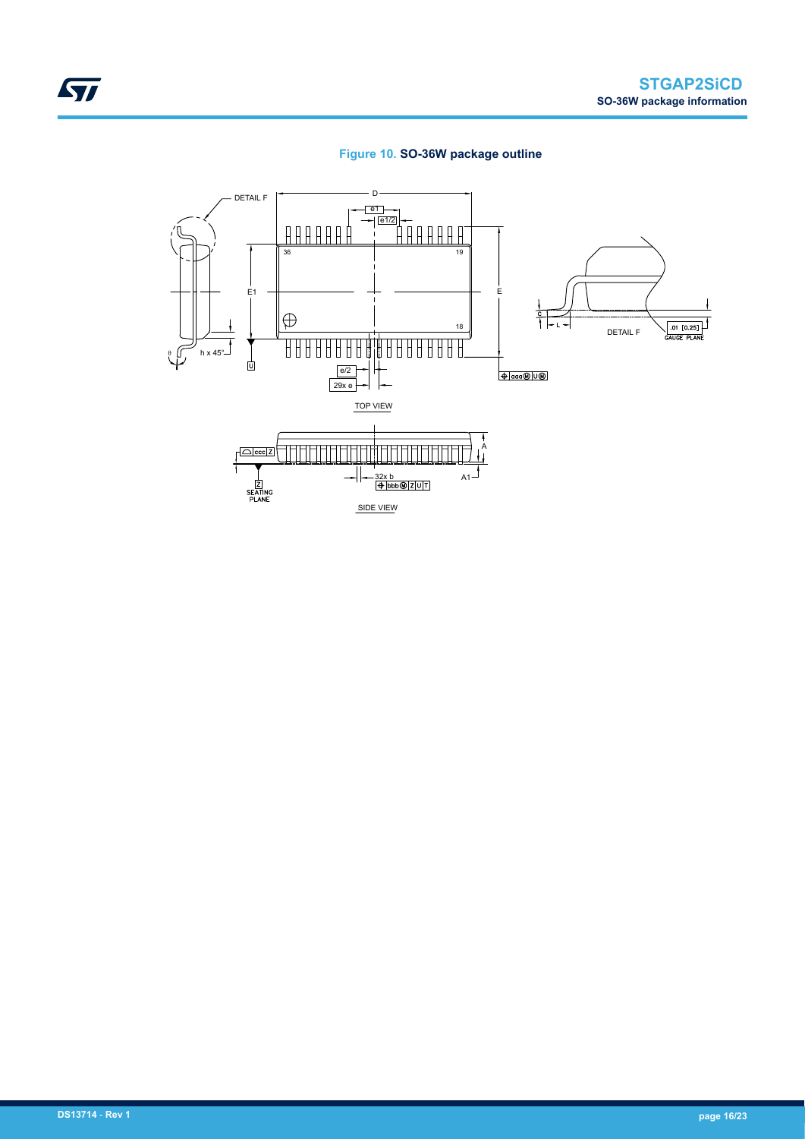

<span id="page-15-0"></span>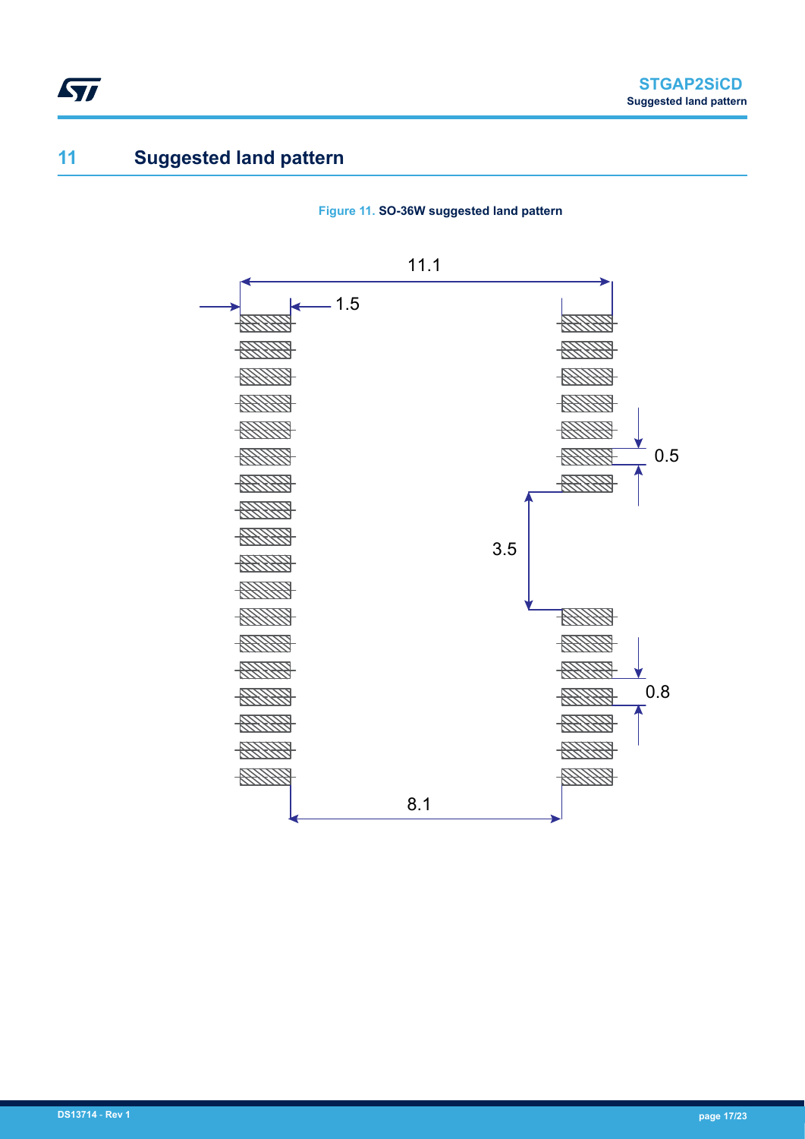## **11 Suggested land pattern**

<span id="page-16-0"></span>ST

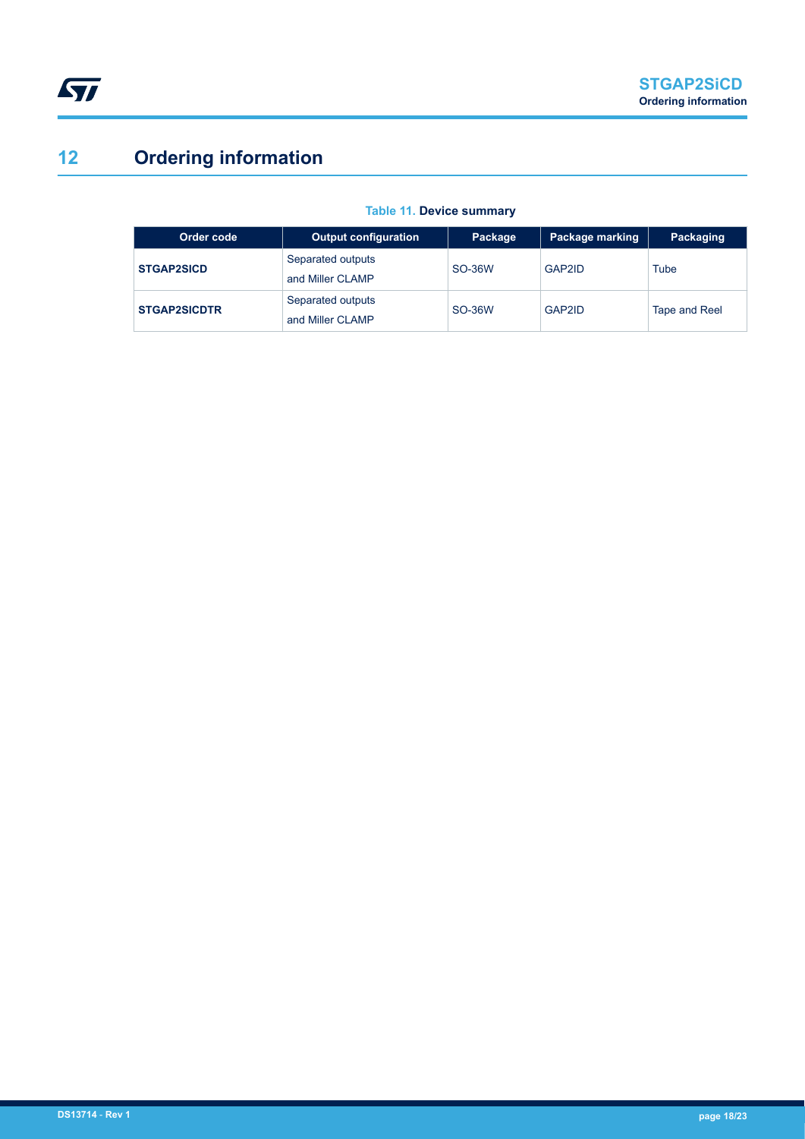# <span id="page-17-0"></span>**12 Ordering information**

| Order code          | <b>Output configuration</b>           | Package | Package marking     | Packaging     |
|---------------------|---------------------------------------|---------|---------------------|---------------|
| <b>STGAP2SICD</b>   | Separated outputs<br>and Miller CLAMP | SO-36W  | GAP2ID              | Tube          |
| <b>STGAP2SICDTR</b> | Separated outputs<br>and Miller CLAMP | SO-36W  | GAP <sub>2</sub> ID | Tape and Reel |

#### **Table 11. Device summary**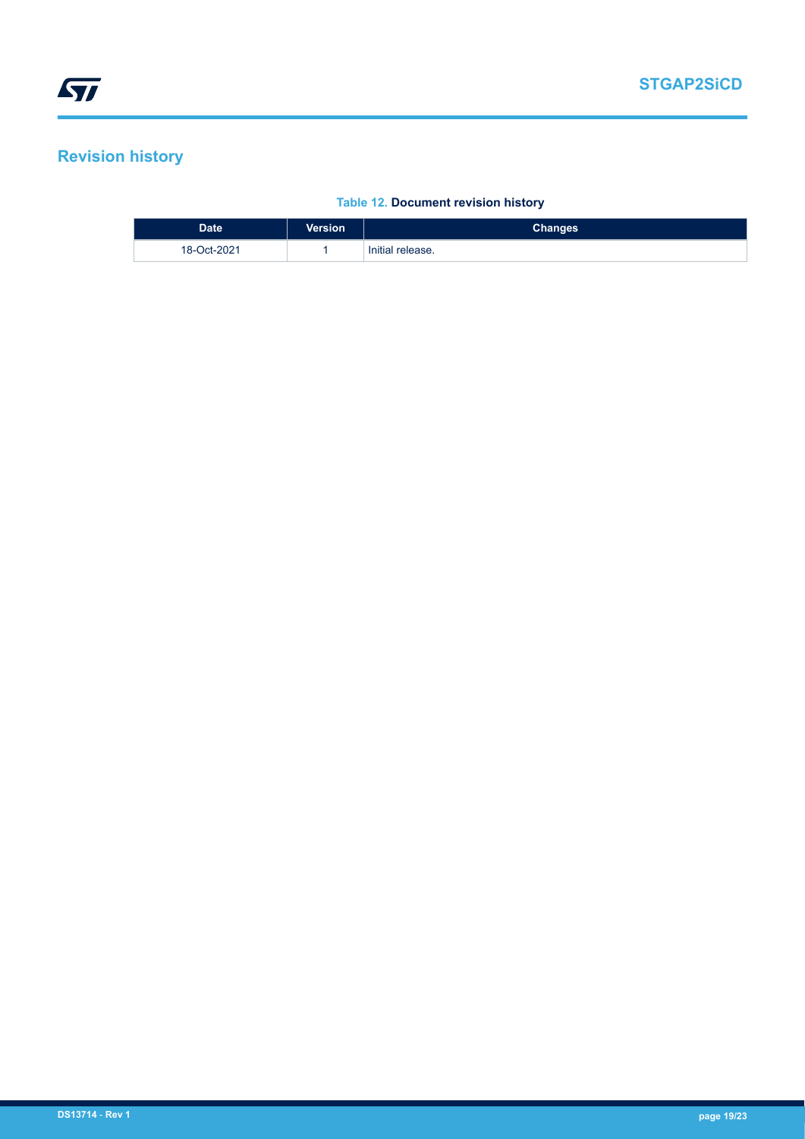## <span id="page-18-0"></span>**Revision history**

#### **Table 12. Document revision history**

| <b>Date</b> | <b>Version</b> | <b>Changes</b>   |
|-------------|----------------|------------------|
| 18-Oct-2021 |                | Initial release. |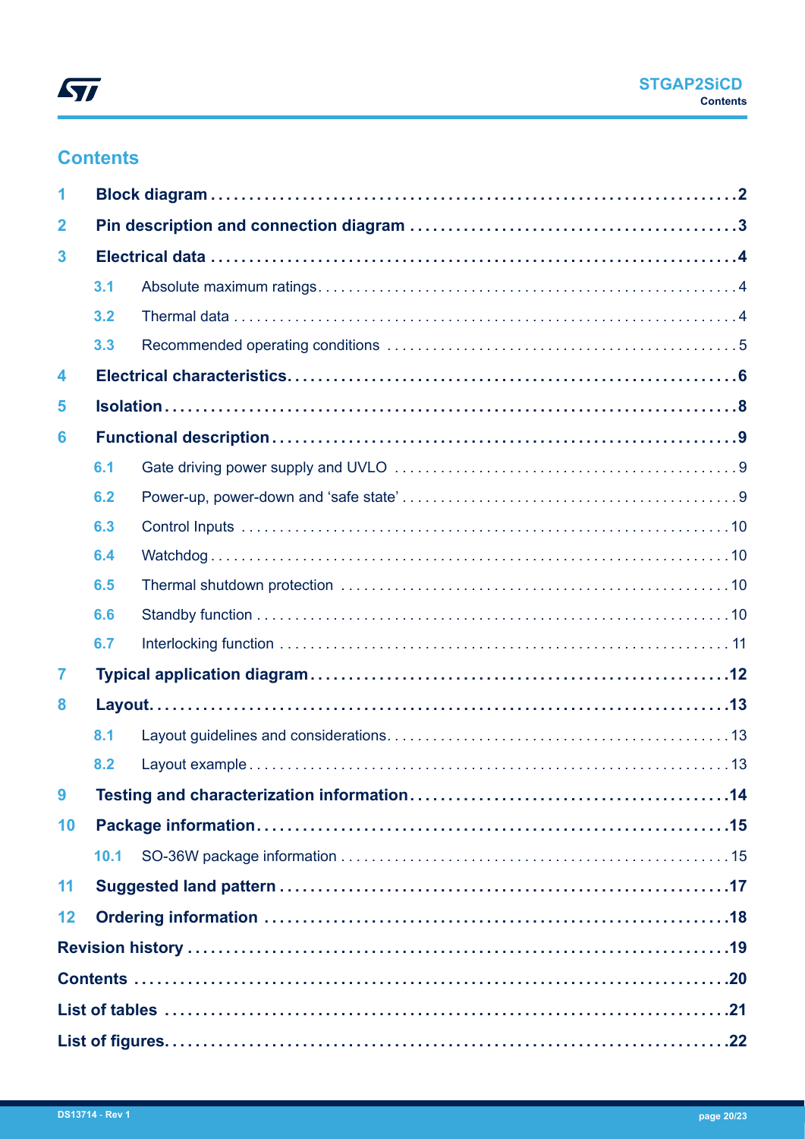## **Contents**

| $\overline{2}$<br>3<br>3.1<br>3.2<br>3.3<br>4<br>5<br>6<br>6.1<br>6.2<br>6.3<br>6.4<br>6.5<br>6.6<br>6.7<br>7<br>8<br>8.1<br>8.2<br>10<br>10.1<br>11<br>12 | 1 |  |
|------------------------------------------------------------------------------------------------------------------------------------------------------------|---|--|
|                                                                                                                                                            |   |  |
|                                                                                                                                                            |   |  |
|                                                                                                                                                            |   |  |
|                                                                                                                                                            |   |  |
|                                                                                                                                                            |   |  |
|                                                                                                                                                            |   |  |
|                                                                                                                                                            |   |  |
|                                                                                                                                                            |   |  |
|                                                                                                                                                            |   |  |
|                                                                                                                                                            |   |  |
|                                                                                                                                                            |   |  |
|                                                                                                                                                            |   |  |
|                                                                                                                                                            |   |  |
|                                                                                                                                                            |   |  |
|                                                                                                                                                            |   |  |
|                                                                                                                                                            |   |  |
|                                                                                                                                                            |   |  |
|                                                                                                                                                            |   |  |
|                                                                                                                                                            |   |  |
|                                                                                                                                                            |   |  |
|                                                                                                                                                            |   |  |
|                                                                                                                                                            |   |  |
|                                                                                                                                                            |   |  |
|                                                                                                                                                            |   |  |
|                                                                                                                                                            |   |  |
|                                                                                                                                                            |   |  |
|                                                                                                                                                            |   |  |
|                                                                                                                                                            |   |  |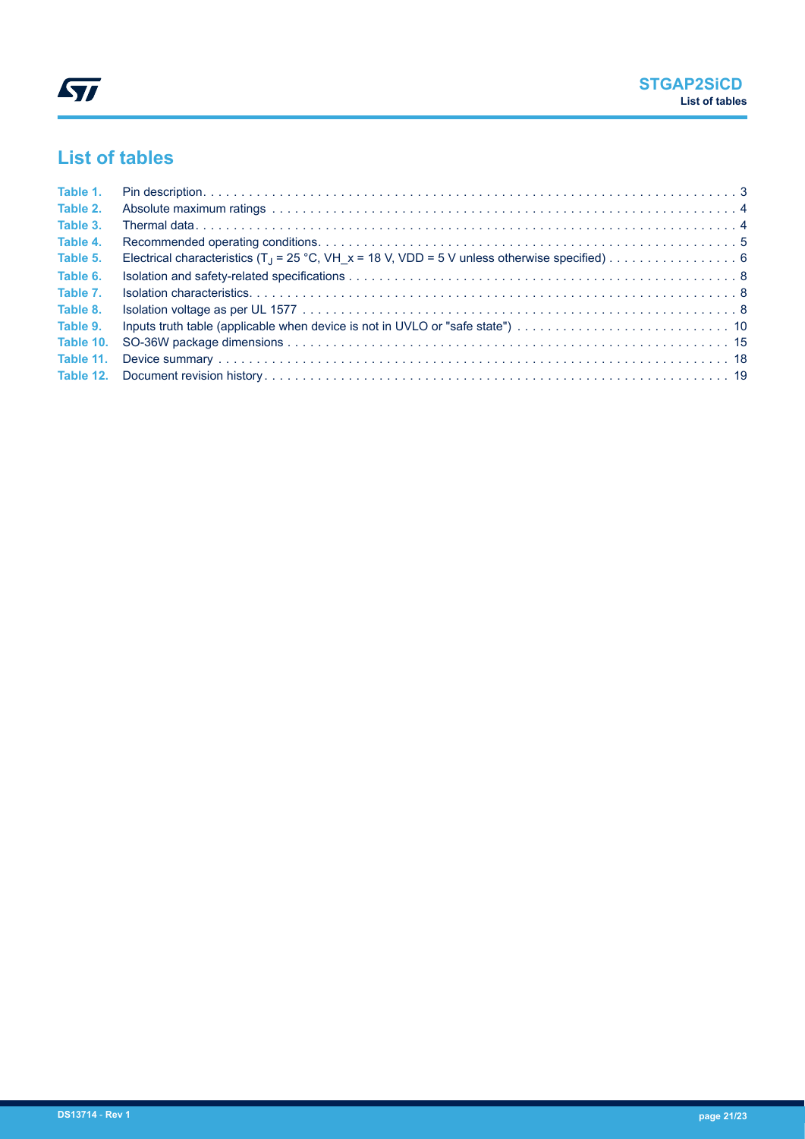## <span id="page-20-0"></span>**List of tables**

| Table 1.  |  |
|-----------|--|
| Table 2.  |  |
| Table 3.  |  |
| Table 4.  |  |
| Table 5.  |  |
| Table 6.  |  |
| Table 7.  |  |
| Table 8.  |  |
| Table 9.  |  |
| Table 10. |  |
| Table 11. |  |
|           |  |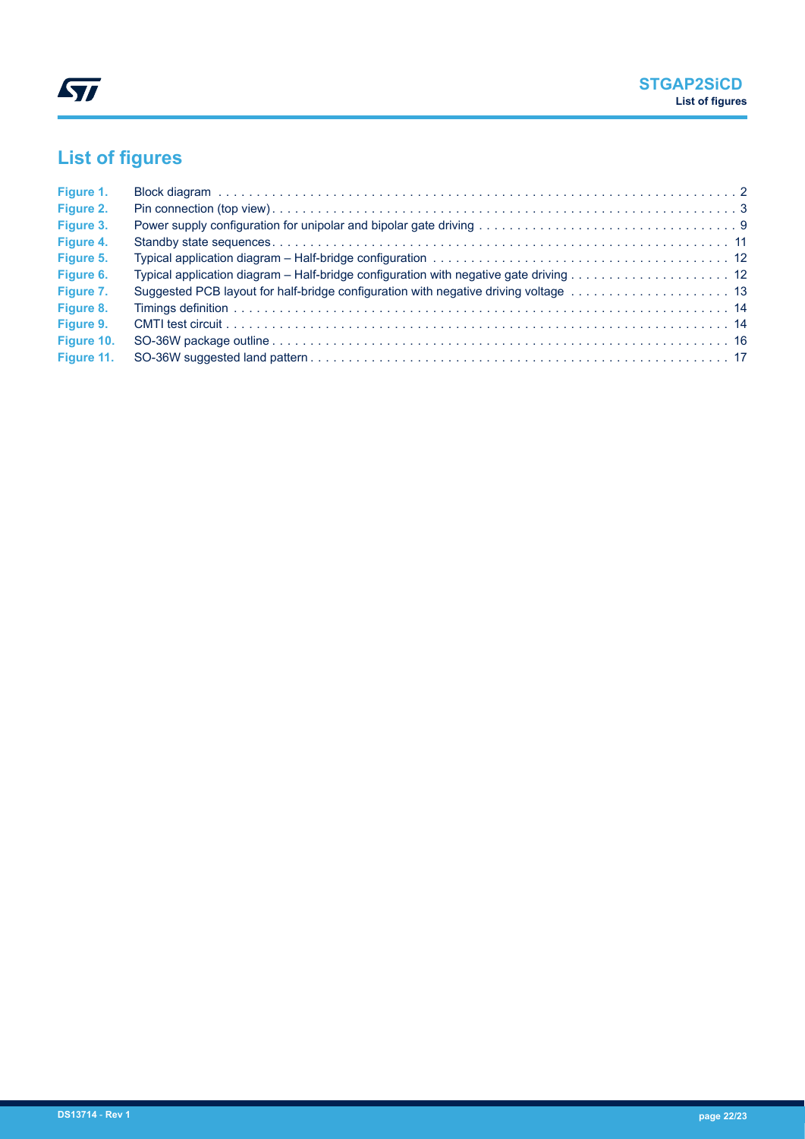# <span id="page-21-0"></span>**List of figures**

| Figure 1.  |  |
|------------|--|
| Figure 2.  |  |
| Figure 3.  |  |
| Figure 4.  |  |
| Figure 5.  |  |
| Figure 6.  |  |
| Figure 7.  |  |
| Figure 8.  |  |
| Figure 9.  |  |
| Figure 10. |  |
| Figure 11. |  |